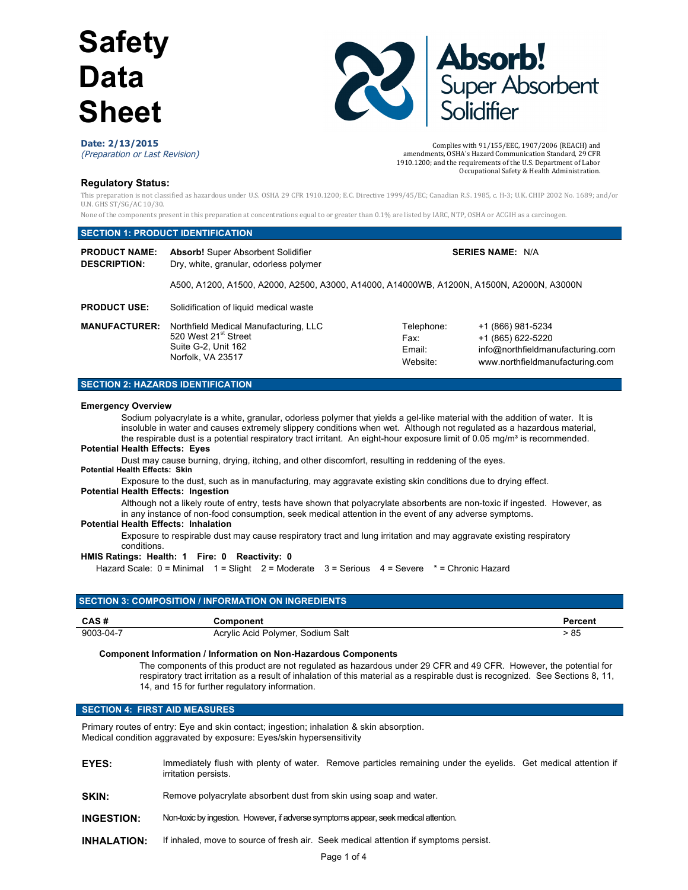

Complies with  $91/155/EEC$ , 1907/2006 (REACH) and amendments, OSHA's Hazard Communication Standard, 29 CFR 1910.1200; and the requirements of the U.S. Department of Labor

Occupational Safety & Health Administration.

#### **Date: 2/13/2015** (Preparation or Last Revision)

**Regulatory Status:**

This preparation is not classified as hazardous under U.S. OSHA 29 CFR 1910.1200; E.C. Directive 1999/45/EC; Canadian R.S. 1985, c. H-3; U.K. CHIP 2002 No. 1689; and/or U.N. GHS ST/SG/AC 10/30.

None of the components present in this preparation at concentrations equal to or greater than 0.1% are listed by IARC, NTP, OSHA or ACGIH as a carcinogen.

# **SECTION 1: PRODUCT IDENTIFICATION**

| <b>PRODUCT NAME:</b><br><b>DESCRIPTION:</b> | <b>Absorb!</b> Super Absorbent Solidifier<br>Dry, white, granular, odorless polymer                                   |                                          | <b>SERIES NAME: N/A</b>                                                                                       |  |
|---------------------------------------------|-----------------------------------------------------------------------------------------------------------------------|------------------------------------------|---------------------------------------------------------------------------------------------------------------|--|
|                                             | A500, A1200, A1500, A2000, A2500, A3000, A14000, A14000WB, A1200N, A1500N, A2000N, A3000N                             |                                          |                                                                                                               |  |
| <b>PRODUCT USE:</b>                         | Solidification of liquid medical waste                                                                                |                                          |                                                                                                               |  |
| <b>MANUFACTURER:</b>                        | Northfield Medical Manufacturing, LLC<br>520 West 21 <sup>st</sup> Street<br>Suite G-2, Unit 162<br>Norfolk, VA 23517 | Telephone:<br>Fax:<br>Email:<br>Website: | +1 (866) 981-5234<br>+1 (865) 622-5220<br>info@northfieldmanufacturing.com<br>www.northfieldmanufacturing.com |  |

# **SECTION 2: HAZARDS IDENTIFICATION**

# **Emergency Overview**

Sodium polyacrylate is a white, granular, odorless polymer that yields a gel-like material with the addition of water. It is insoluble in water and causes extremely slippery conditions when wet. Although not regulated as a hazardous material, the respirable dust is a potential respiratory tract irritant. An eight-hour exposure limit of 0.05 mg/m<sup>3</sup> is recommended.

# **Potential Health Effects: Eyes**

Dust may cause burning, drying, itching, and other discomfort, resulting in reddening of the eyes.

# **Potential Health Effects: Skin**

Exposure to the dust, such as in manufacturing, may aggravate existing skin conditions due to drying effect.

# **Potential Health Effects: Ingestion**

Although not a likely route of entry, tests have shown that polyacrylate absorbents are non-toxic if ingested. However, as in any instance of non-food consumption, seek medical attention in the event of any adverse symptoms.

## **Potential Health Effects: Inhalation**

Exposure to respirable dust may cause respiratory tract and lung irritation and may aggravate existing respiratory conditions.

# **HMIS Ratings: Health: 1 Fire: 0 Reactivity: 0**

Hazard Scale: 0 = Minimal 1 = Slight 2 = Moderate 3 = Serious 4 = Severe \* = Chronic Hazard

| <b>SECTION 3: COMPOSITION / INFORMATION ON INGREDIENTS</b> |                                   |         |  |  |
|------------------------------------------------------------|-----------------------------------|---------|--|--|
| CAS#                                                       | Component                         | Percent |  |  |
| 9003-04-7                                                  | Acrylic Acid Polymer, Sodium Salt | > 85    |  |  |

# **Component Information / Information on Non-Hazardous Components**

The components of this product are not regulated as hazardous under 29 CFR and 49 CFR. However, the potential for respiratory tract irritation as a result of inhalation of this material as a respirable dust is recognized. See Sections 8, 11, 14, and 15 for further regulatory information.

# **SECTION 4: FIRST AID MEASURES**

Primary routes of entry: Eye and skin contact; ingestion; inhalation & skin absorption. Medical condition aggravated by exposure: Eyes/skin hypersensitivity

- **EYES:** Immediately flush with plenty of water. Remove particles remaining under the eyelids. Get medical attention if irritation persists.
- **SKIN:** Remove polyacrylate absorbent dust from skin using soap and water.
- **INGESTION:** Non-toxic by ingestion. However, if adverse symptoms appear, seek medical attention.
- **INHALATION:** If inhaled, move to source of fresh air. Seek medical attention if symptoms persist.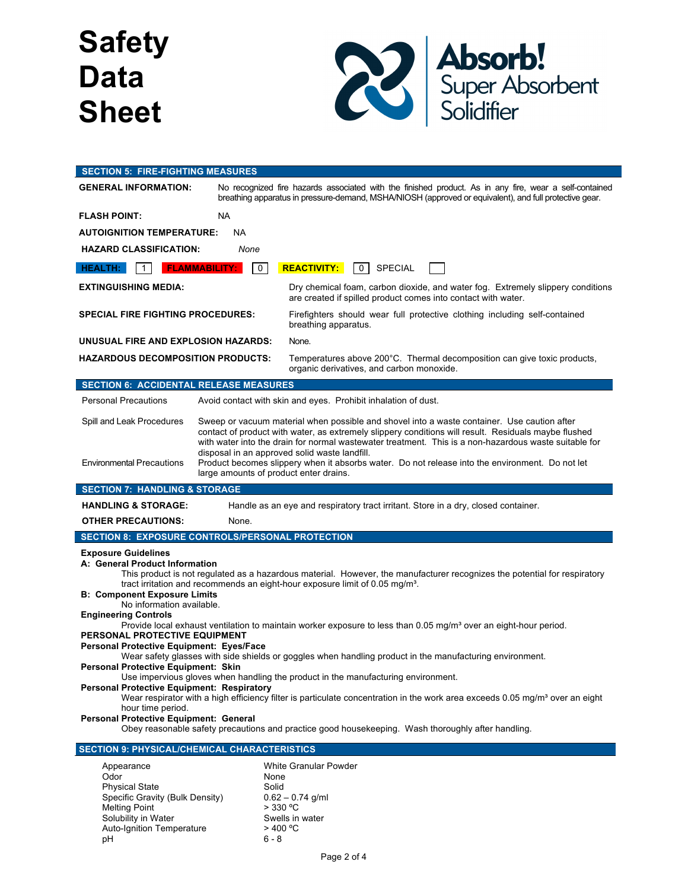

| <b>SECTION 5: FIRE-FIGHTING MEASURES</b>                                                                                                                                                                                                                                                                                                                                                                                                                                                                                                                                                                                                                                                                                                                                                                                                                                                                                                                                                                                                                                                                                                                                                                            |                                                                                                                                                                                                                  |  |  |  |  |
|---------------------------------------------------------------------------------------------------------------------------------------------------------------------------------------------------------------------------------------------------------------------------------------------------------------------------------------------------------------------------------------------------------------------------------------------------------------------------------------------------------------------------------------------------------------------------------------------------------------------------------------------------------------------------------------------------------------------------------------------------------------------------------------------------------------------------------------------------------------------------------------------------------------------------------------------------------------------------------------------------------------------------------------------------------------------------------------------------------------------------------------------------------------------------------------------------------------------|------------------------------------------------------------------------------------------------------------------------------------------------------------------------------------------------------------------|--|--|--|--|
| <b>GENERAL INFORMATION:</b>                                                                                                                                                                                                                                                                                                                                                                                                                                                                                                                                                                                                                                                                                                                                                                                                                                                                                                                                                                                                                                                                                                                                                                                         | No recognized fire hazards associated with the finished product. As in any fire, wear a self-contained<br>breathing apparatus in pressure-demand, MSHA/NIOSH (approved or equivalent), and full protective gear. |  |  |  |  |
| <b>FLASH POINT:</b>                                                                                                                                                                                                                                                                                                                                                                                                                                                                                                                                                                                                                                                                                                                                                                                                                                                                                                                                                                                                                                                                                                                                                                                                 | NA.                                                                                                                                                                                                              |  |  |  |  |
| <b>AUTOIGNITION TEMPERATURE:</b>                                                                                                                                                                                                                                                                                                                                                                                                                                                                                                                                                                                                                                                                                                                                                                                                                                                                                                                                                                                                                                                                                                                                                                                    | <b>NA</b>                                                                                                                                                                                                        |  |  |  |  |
| <b>HAZARD CLASSIFICATION:</b><br>None                                                                                                                                                                                                                                                                                                                                                                                                                                                                                                                                                                                                                                                                                                                                                                                                                                                                                                                                                                                                                                                                                                                                                                               |                                                                                                                                                                                                                  |  |  |  |  |
| $\mathbf{1}$<br><b>HEALTH:</b>                                                                                                                                                                                                                                                                                                                                                                                                                                                                                                                                                                                                                                                                                                                                                                                                                                                                                                                                                                                                                                                                                                                                                                                      | <b>REACTIVITY:</b><br><b>FLAMMABILITY:</b><br>$\mathbf{0}$<br>$\overline{0}$<br><b>SPECIAL</b>                                                                                                                   |  |  |  |  |
| <b>EXTINGUISHING MEDIA:</b><br>Dry chemical foam, carbon dioxide, and water fog. Extremely slippery conditions<br>are created if spilled product comes into contact with water.                                                                                                                                                                                                                                                                                                                                                                                                                                                                                                                                                                                                                                                                                                                                                                                                                                                                                                                                                                                                                                     |                                                                                                                                                                                                                  |  |  |  |  |
| <b>SPECIAL FIRE FIGHTING PROCEDURES:</b>                                                                                                                                                                                                                                                                                                                                                                                                                                                                                                                                                                                                                                                                                                                                                                                                                                                                                                                                                                                                                                                                                                                                                                            | Firefighters should wear full protective clothing including self-contained<br>breathing apparatus.                                                                                                               |  |  |  |  |
| UNUSUAL FIRE AND EXPLOSION HAZARDS:<br>None.                                                                                                                                                                                                                                                                                                                                                                                                                                                                                                                                                                                                                                                                                                                                                                                                                                                                                                                                                                                                                                                                                                                                                                        |                                                                                                                                                                                                                  |  |  |  |  |
| <b>HAZARDOUS DECOMPOSITION PRODUCTS:</b><br>Temperatures above 200°C. Thermal decomposition can give toxic products,<br>organic derivatives, and carbon monoxide.                                                                                                                                                                                                                                                                                                                                                                                                                                                                                                                                                                                                                                                                                                                                                                                                                                                                                                                                                                                                                                                   |                                                                                                                                                                                                                  |  |  |  |  |
| <b>SECTION 6: ACCIDENTAL RELEASE MEASURES</b>                                                                                                                                                                                                                                                                                                                                                                                                                                                                                                                                                                                                                                                                                                                                                                                                                                                                                                                                                                                                                                                                                                                                                                       |                                                                                                                                                                                                                  |  |  |  |  |
| <b>Personal Precautions</b>                                                                                                                                                                                                                                                                                                                                                                                                                                                                                                                                                                                                                                                                                                                                                                                                                                                                                                                                                                                                                                                                                                                                                                                         | Avoid contact with skin and eyes. Prohibit inhalation of dust.                                                                                                                                                   |  |  |  |  |
| Spill and Leak Procedures<br>Sweep or vacuum material when possible and shovel into a waste container. Use caution after<br>contact of product with water, as extremely slippery conditions will result. Residuals maybe flushed<br>with water into the drain for normal wastewater treatment. This is a non-hazardous waste suitable for<br>disposal in an approved solid waste landfill.                                                                                                                                                                                                                                                                                                                                                                                                                                                                                                                                                                                                                                                                                                                                                                                                                          |                                                                                                                                                                                                                  |  |  |  |  |
| <b>Environmental Precautions</b>                                                                                                                                                                                                                                                                                                                                                                                                                                                                                                                                                                                                                                                                                                                                                                                                                                                                                                                                                                                                                                                                                                                                                                                    | Product becomes slippery when it absorbs water. Do not release into the environment. Do not let<br>large amounts of product enter drains.                                                                        |  |  |  |  |
| <b>SECTION 7: HANDLING &amp; STORAGE</b>                                                                                                                                                                                                                                                                                                                                                                                                                                                                                                                                                                                                                                                                                                                                                                                                                                                                                                                                                                                                                                                                                                                                                                            |                                                                                                                                                                                                                  |  |  |  |  |
| <b>HANDLING &amp; STORAGE:</b>                                                                                                                                                                                                                                                                                                                                                                                                                                                                                                                                                                                                                                                                                                                                                                                                                                                                                                                                                                                                                                                                                                                                                                                      | Handle as an eye and respiratory tract irritant. Store in a dry, closed container.                                                                                                                               |  |  |  |  |
| <b>OTHER PRECAUTIONS:</b>                                                                                                                                                                                                                                                                                                                                                                                                                                                                                                                                                                                                                                                                                                                                                                                                                                                                                                                                                                                                                                                                                                                                                                                           | None.                                                                                                                                                                                                            |  |  |  |  |
|                                                                                                                                                                                                                                                                                                                                                                                                                                                                                                                                                                                                                                                                                                                                                                                                                                                                                                                                                                                                                                                                                                                                                                                                                     | SECTION 8: EXPOSURE CONTROLS/PERSONAL PROTECTION                                                                                                                                                                 |  |  |  |  |
| <b>Exposure Guidelines</b><br>A: General Product Information<br>This product is not regulated as a hazardous material. However, the manufacturer recognizes the potential for respiratory<br>tract irritation and recommends an eight-hour exposure limit of 0.05 mg/m <sup>3</sup> .<br><b>B: Component Exposure Limits</b><br>No information available.<br><b>Engineering Controls</b><br>Provide local exhaust ventilation to maintain worker exposure to less than 0.05 mg/m <sup>3</sup> over an eight-hour period.<br>PERSONAL PROTECTIVE EQUIPMENT<br>Personal Protective Equipment: Eyes/Face<br>Wear safety glasses with side shields or goggles when handling product in the manufacturing environment.<br>Personal Protective Equipment: Skin<br>Use impervious gloves when handling the product in the manufacturing environment.<br><b>Personal Protective Equipment: Respiratory</b><br>Wear respirator with a high efficiency filter is particulate concentration in the work area exceeds 0.05 mg/m <sup>3</sup> over an eight<br>hour time period.<br>Personal Protective Equipment: General<br>Obey reasonable safety precautions and practice good housekeeping. Wash thoroughly after handling. |                                                                                                                                                                                                                  |  |  |  |  |
|                                                                                                                                                                                                                                                                                                                                                                                                                                                                                                                                                                                                                                                                                                                                                                                                                                                                                                                                                                                                                                                                                                                                                                                                                     | <b>SECTION 9: PHYSICAL/CHEMICAL CHARACTERISTICS</b>                                                                                                                                                              |  |  |  |  |
| White Granular Powder<br>Appearance<br>Odor<br>None<br><b>Physical State</b><br>Solid<br>Specific Gravity (Bulk Density)<br>$0.62 - 0.74$ g/ml<br><b>Melting Point</b><br>$>$ 330 °C<br>Solubility in Water<br>Swells in water<br><b>Auto-Ignition Temperature</b><br>$>$ 400 °C                                                                                                                                                                                                                                                                                                                                                                                                                                                                                                                                                                                                                                                                                                                                                                                                                                                                                                                                    |                                                                                                                                                                                                                  |  |  |  |  |

pH 6 - 8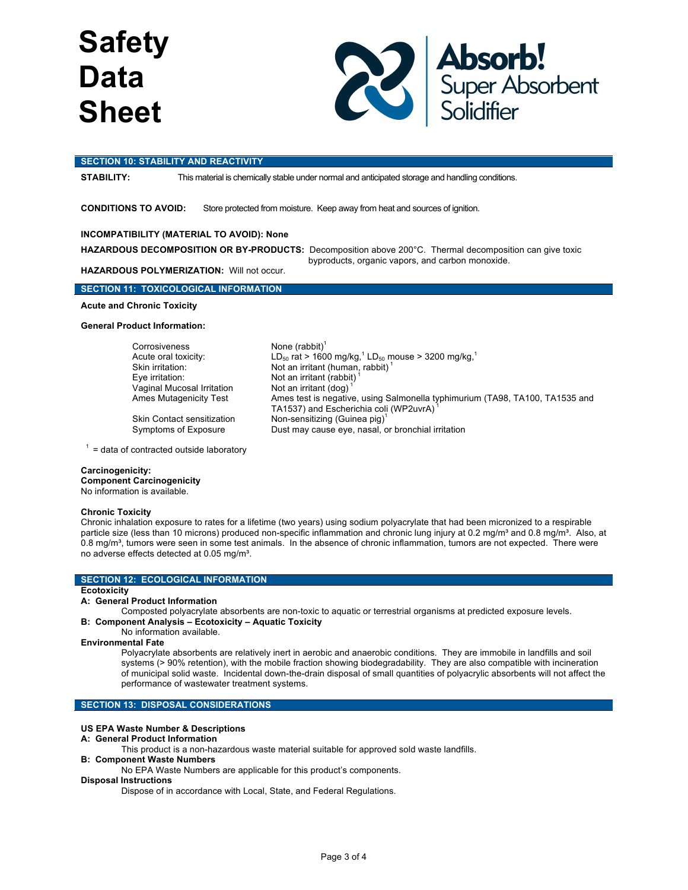

#### **SECTION 10: STABILITY AND REACTIVITY**

**STABILITY:** This material is chemically stable under normal and anticipated storage and handling conditions.

**CONDITIONS TO AVOID:** Store protected from moisture. Keep away from heat and sources of ignition.

# **INCOMPATIBILITY (MATERIAL TO AVOID): None**

**HAZARDOUS DECOMPOSITION OR BY-PRODUCTS:** Decomposition above 200°C. Thermal decomposition can give toxic byproducts, organic vapors, and carbon monoxide.

LD<sub>50</sub> rat > 1600 mg/kg,<sup>1</sup> LD<sub>50</sub> mouse > 3200 mg/kg,<sup>1</sup>

TA1537) and Escherichia coli (WP2uvrA) <sup>1</sup>

Ames test is negative, using Salmonella typhimurium (TA98, TA100, TA1535 and

# **HAZARDOUS POLYMERIZATION:** Will not occur.

# **SECTION 11: TOXICOLOGICAL INFORMATION**

**Acute and Chronic Toxicity**

#### **General Product Information:**

Corrosiveness None (rabbit)<sup>1</sup><br>Acute oral toxicity: LD<sub>so</sub> rat > 160 Skin irritation: Not an irritant (human, rabbit) Eye irritation: Not an irritant (rabbit) Vaginal Mucosal Irritation Not an irritant (dog)<br>
Ames Mutagenicity Test Ames test is negativ

Skin Contact sensitization Non-sensitizing (Guinea pig)<sup>1</sup> Symptoms of Exposure Dust may cause eye, nasal, or bronchial irritation

 $1 =$  data of contracted outside laboratory

#### **Carcinogenicity:**

**Component Carcinogenicity** No information is available.

#### **Chronic Toxicity**

Chronic inhalation exposure to rates for a lifetime (two years) using sodium polyacrylate that had been micronized to a respirable particle size (less than 10 microns) produced non-specific inflammation and chronic lung injury at 0.2 mg/m<sup>3</sup> and 0.8 mg/m<sup>3</sup>. Also, at 0.8 mg/m<sup>3</sup>, tumors were seen in some test animals. In the absence of chronic inflammation, tumors are not expected. There were no adverse effects detected at 0.05 mg/m<sup>3</sup>.

## **SECTION 12: ECOLOGICAL INFORMATION**

#### **Ecotoxicity**

#### **A: General Product Information**

Composted polyacrylate absorbents are non-toxic to aquatic or terrestrial organisms at predicted exposure levels. **B: Component Analysis – Ecotoxicity – Aquatic Toxicity**

# No information available.

#### **Environmental Fate**

Polyacrylate absorbents are relatively inert in aerobic and anaerobic conditions. They are immobile in landfills and soil systems (> 90% retention), with the mobile fraction showing biodegradability. They are also compatible with incineration of municipal solid waste. Incidental down-the-drain disposal of small quantities of polyacrylic absorbents will not affect the performance of wastewater treatment systems.

# **SECTION 13: DISPOSAL CONSIDERATIONS**

# **US EPA Waste Number & Descriptions**

- **A: General Product Information**
	- This product is a non-hazardous waste material suitable for approved sold waste landfills.
- **B: Component Waste Numbers**
	- No EPA Waste Numbers are applicable for this product's components.

# **Disposal Instructions**

Dispose of in accordance with Local, State, and Federal Regulations.